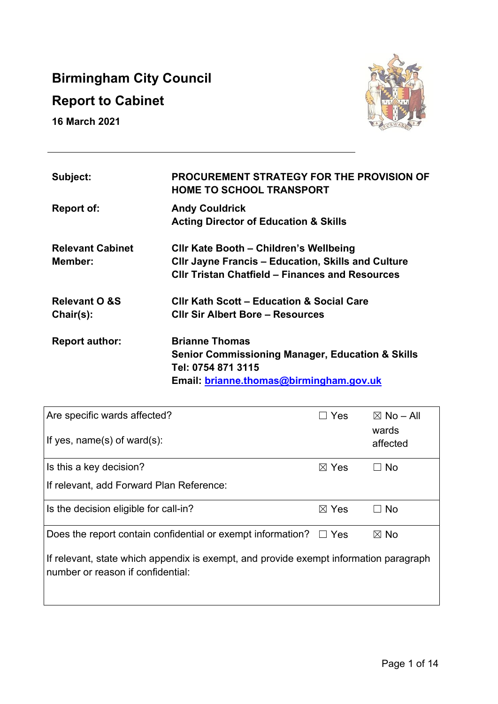# **Birmingham City Council**

# **Report to Cabinet**

**16 March 2021** 



| Subject:                 | <b>PROCUREMENT STRATEGY FOR THE PROVISION OF</b><br><b>HOME TO SCHOOL TRANSPORT</b> |
|--------------------------|-------------------------------------------------------------------------------------|
| <b>Report of:</b>        | <b>Andy Couldrick</b>                                                               |
|                          | <b>Acting Director of Education &amp; Skills</b>                                    |
| <b>Relevant Cabinet</b>  | CIIr Kate Booth - Children's Wellbeing                                              |
| Member:                  | <b>CIIr Jayne Francis - Education, Skills and Culture</b>                           |
|                          | <b>CIIr Tristan Chatfield – Finances and Resources</b>                              |
| <b>Relevant O &amp;S</b> | <b>CIIr Kath Scott - Education &amp; Social Care</b>                                |
| Chair(s):                | <b>CIIr Sir Albert Bore – Resources</b>                                             |
| <b>Report author:</b>    | <b>Brianne Thomas</b>                                                               |
|                          | <b>Senior Commissioning Manager, Education &amp; Skills</b>                         |
|                          | Tel: 0754 871 3115                                                                  |
|                          | Email: brianne.thomas@birmingham.gov.uk                                             |

| Are specific wards affected?<br>If yes, name(s) of ward(s):                                                                 | <b>Yes</b>      | $\boxtimes$ No – All<br>wards<br>affected |  |  |
|-----------------------------------------------------------------------------------------------------------------------------|-----------------|-------------------------------------------|--|--|
| Is this a key decision?                                                                                                     | $\boxtimes$ Yes | $\Box$ No                                 |  |  |
| If relevant, add Forward Plan Reference:                                                                                    |                 |                                           |  |  |
| Is the decision eligible for call-in?                                                                                       | $\boxtimes$ Yes | $\Box$ No                                 |  |  |
| Does the report contain confidential or exempt information? $\Box$ Yes                                                      |                 | $\boxtimes$ No                            |  |  |
| If relevant, state which appendix is exempt, and provide exempt information paragraph<br>Inumber or reason if confidential: |                 |                                           |  |  |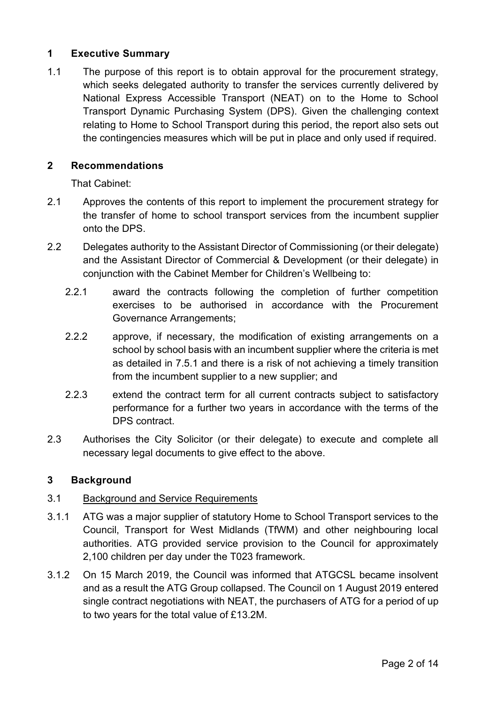## **1 Executive Summary**

1.1 The purpose of this report is to obtain approval for the procurement strategy, which seeks delegated authority to transfer the services currently delivered by National Express Accessible Transport (NEAT) on to the Home to School Transport Dynamic Purchasing System (DPS). Given the challenging context relating to Home to School Transport during this period, the report also sets out the contingencies measures which will be put in place and only used if required.

## **2 Recommendations**

That Cabinet:

- 2.1 Approves the contents of this report to implement the procurement strategy for the transfer of home to school transport services from the incumbent supplier onto the DPS.
- 2.2 Delegates authority to the Assistant Director of Commissioning (or their delegate) and the Assistant Director of Commercial & Development (or their delegate) in conjunction with the Cabinet Member for Children's Wellbeing to:
	- 2.2.1 award the contracts following the completion of further competition exercises to be authorised in accordance with the Procurement Governance Arrangements;
	- 2.2.2 approve, if necessary, the modification of existing arrangements on a school by school basis with an incumbent supplier where the criteria is met as detailed in 7.5.1 and there is a risk of not achieving a timely transition from the incumbent supplier to a new supplier; and
	- 2.2.3 extend the contract term for all current contracts subject to satisfactory performance for a further two years in accordance with the terms of the DPS contract.
- 2.3 Authorises the City Solicitor (or their delegate) to execute and complete all necessary legal documents to give effect to the above.

## **3 Background**

## 3.1 Background and Service Requirements

- 3.1.1 ATG was a major supplier of statutory Home to School Transport services to the Council, Transport for West Midlands (TfWM) and other neighbouring local authorities. ATG provided service provision to the Council for approximately 2,100 children per day under the T023 framework.
- 3.1.2 On 15 March 2019, the Council was informed that ATGCSL became insolvent and as a result the ATG Group collapsed. The Council on 1 August 2019 entered single contract negotiations with NEAT, the purchasers of ATG for a period of up to two years for the total value of £13.2M.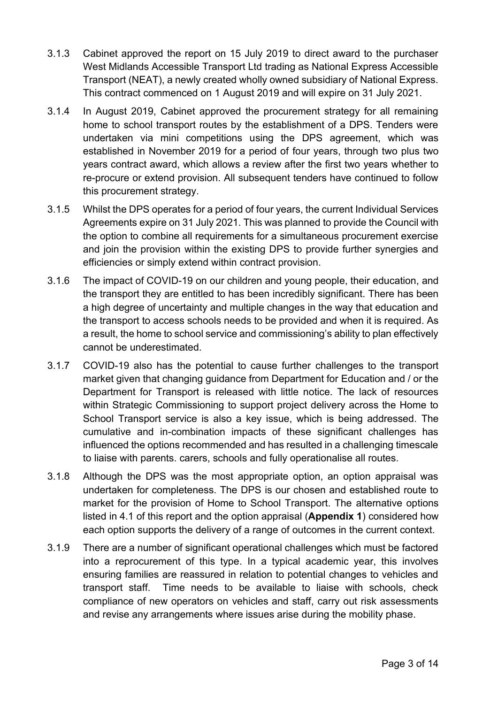- 3.1.3 Cabinet approved the report on 15 July 2019 to direct award to the purchaser West Midlands Accessible Transport Ltd trading as National Express Accessible Transport (NEAT), a newly created wholly owned subsidiary of National Express. This contract commenced on 1 August 2019 and will expire on 31 July 2021.
- 3.1.4 In August 2019, Cabinet approved the procurement strategy for all remaining home to school transport routes by the establishment of a DPS. Tenders were undertaken via mini competitions using the DPS agreement, which was established in November 2019 for a period of four years, through two plus two years contract award, which allows a review after the first two years whether to re-procure or extend provision. All subsequent tenders have continued to follow this procurement strategy.
- 3.1.5 Whilst the DPS operates for a period of four years, the current Individual Services Agreements expire on 31 July 2021. This was planned to provide the Council with the option to combine all requirements for a simultaneous procurement exercise and join the provision within the existing DPS to provide further synergies and efficiencies or simply extend within contract provision.
- 3.1.6 The impact of COVID-19 on our children and young people, their education, and the transport they are entitled to has been incredibly significant. There has been a high degree of uncertainty and multiple changes in the way that education and the transport to access schools needs to be provided and when it is required. As a result, the home to school service and commissioning's ability to plan effectively cannot be underestimated.
- 3.1.7 COVID-19 also has the potential to cause further challenges to the transport market given that changing guidance from Department for Education and / or the Department for Transport is released with little notice. The lack of resources within Strategic Commissioning to support project delivery across the Home to School Transport service is also a key issue, which is being addressed. The cumulative and in-combination impacts of these significant challenges has influenced the options recommended and has resulted in a challenging timescale to liaise with parents. carers, schools and fully operationalise all routes.
- 3.1.8 Although the DPS was the most appropriate option, an option appraisal was undertaken for completeness. The DPS is our chosen and established route to market for the provision of Home to School Transport. The alternative options listed in 4.1 of this report and the option appraisal (**Appendix 1**) considered how each option supports the delivery of a range of outcomes in the current context.
- 3.1.9 There are a number of significant operational challenges which must be factored into a reprocurement of this type. In a typical academic year, this involves ensuring families are reassured in relation to potential changes to vehicles and transport staff. Time needs to be available to liaise with schools, check compliance of new operators on vehicles and staff, carry out risk assessments and revise any arrangements where issues arise during the mobility phase.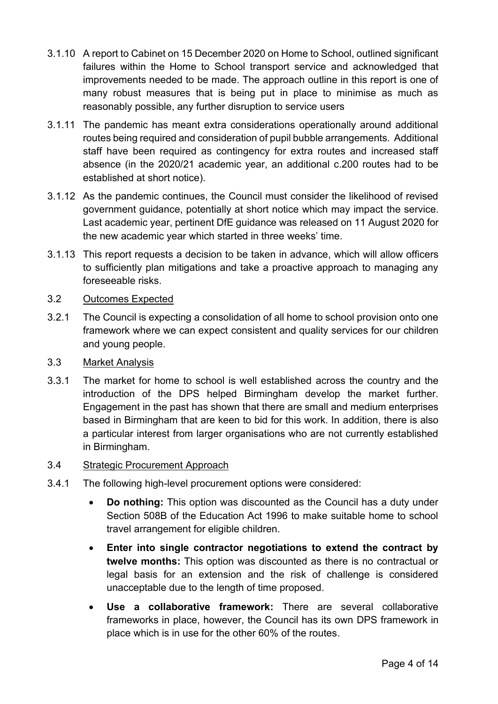- 3.1.10 A report to Cabinet on 15 December 2020 on Home to School, outlined significant failures within the Home to School transport service and acknowledged that improvements needed to be made. The approach outline in this report is one of many robust measures that is being put in place to minimise as much as reasonably possible, any further disruption to service users
- 3.1.11 The pandemic has meant extra considerations operationally around additional routes being required and consideration of pupil bubble arrangements. Additional staff have been required as contingency for extra routes and increased staff absence (in the 2020/21 academic year, an additional c.200 routes had to be established at short notice).
- 3.1.12 As the pandemic continues, the Council must consider the likelihood of revised government guidance, potentially at short notice which may impact the service. Last academic year, pertinent DfE guidance was released on 11 August 2020 for the new academic year which started in three weeks' time.
- 3.1.13 This report requests a decision to be taken in advance, which will allow officers to sufficiently plan mitigations and take a proactive approach to managing any foreseeable risks.
- 3.2 Outcomes Expected
- 3.2.1 The Council is expecting a consolidation of all home to school provision onto one framework where we can expect consistent and quality services for our children and young people.
- 3.3 Market Analysis
- 3.3.1 The market for home to school is well established across the country and the introduction of the DPS helped Birmingham develop the market further. Engagement in the past has shown that there are small and medium enterprises based in Birmingham that are keen to bid for this work. In addition, there is also a particular interest from larger organisations who are not currently established in Birmingham.
- 3.4 Strategic Procurement Approach
- 3.4.1 The following high-level procurement options were considered:
	- **Do nothing:** This option was discounted as the Council has a duty under Section 508B of the Education Act 1996 to make suitable home to school travel arrangement for eligible children.
	- **Enter into single contractor negotiations to extend the contract by twelve months:** This option was discounted as there is no contractual or legal basis for an extension and the risk of challenge is considered unacceptable due to the length of time proposed.
	- **Use a collaborative framework:** There are several collaborative frameworks in place, however, the Council has its own DPS framework in place which is in use for the other 60% of the routes.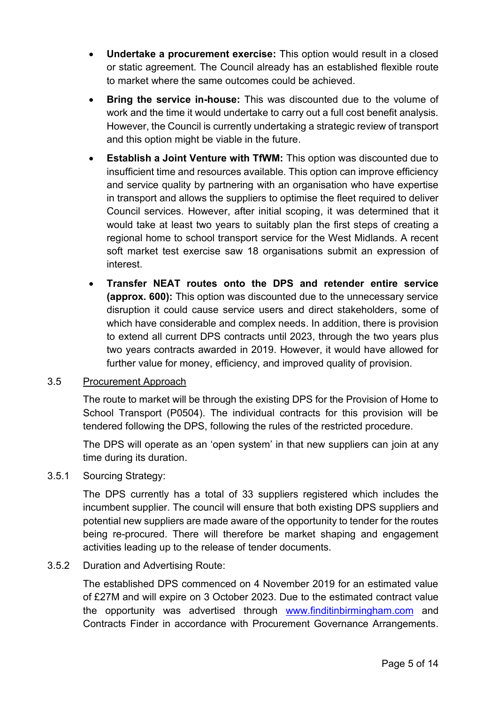- **Undertake a procurement exercise:** This option would result in a closed or static agreement. The Council already has an established flexible route to market where the same outcomes could be achieved.
- **Bring the service in-house:** This was discounted due to the volume of work and the time it would undertake to carry out a full cost benefit analysis. However, the Council is currently undertaking a strategic review of transport and this option might be viable in the future.
- **Establish a Joint Venture with TfWM:** This option was discounted due to insufficient time and resources available. This option can improve efficiency and service quality by partnering with an organisation who have expertise in transport and allows the suppliers to optimise the fleet required to deliver Council services. However, after initial scoping, it was determined that it would take at least two years to suitably plan the first steps of creating a regional home to school transport service for the West Midlands. A recent soft market test exercise saw 18 organisations submit an expression of interest.
- **Transfer NEAT routes onto the DPS and retender entire service (approx. 600):** This option was discounted due to the unnecessary service disruption it could cause service users and direct stakeholders, some of which have considerable and complex needs. In addition, there is provision to extend all current DPS contracts until 2023, through the two years plus two years contracts awarded in 2019. However, it would have allowed for further value for money, efficiency, and improved quality of provision.

#### 3.5 Procurement Approach

The route to market will be through the existing DPS for the Provision of Home to School Transport (P0504). The individual contracts for this provision will be tendered following the DPS, following the rules of the restricted procedure.

The DPS will operate as an 'open system' in that new suppliers can join at any time during its duration.

## 3.5.1 Sourcing Strategy:

The DPS currently has a total of 33 suppliers registered which includes the incumbent supplier. The council will ensure that both existing DPS suppliers and potential new suppliers are made aware of the opportunity to tender for the routes being re-procured. There will therefore be market shaping and engagement activities leading up to the release of tender documents.

#### 3.5.2 Duration and Advertising Route:

The established DPS commenced on 4 November 2019 for an estimated value of £27M and will expire on 3 October 2023. Due to the estimated contract value the opportunity was advertised through [www.finditinbirmingham.com](http://www.finditinbirmingham.com/) and Contracts Finder in accordance with Procurement Governance Arrangements.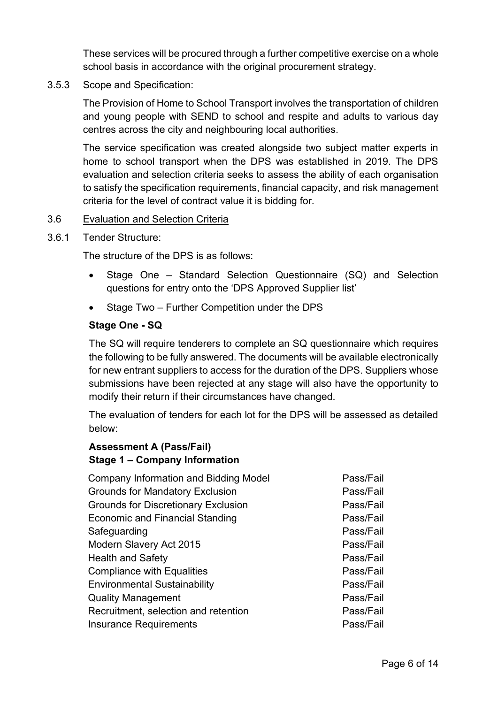These services will be procured through a further competitive exercise on a whole school basis in accordance with the original procurement strategy.

3.5.3 Scope and Specification:

The Provision of Home to School Transport involves the transportation of children and young people with SEND to school and respite and adults to various day centres across the city and neighbouring local authorities.

The service specification was created alongside two subject matter experts in home to school transport when the DPS was established in 2019. The DPS evaluation and selection criteria seeks to assess the ability of each organisation to satisfy the specification requirements, financial capacity, and risk management criteria for the level of contract value it is bidding for.

#### 3.6 Evaluation and Selection Criteria

3.6.1 Tender Structure:

The structure of the DPS is as follows:

- Stage One Standard Selection Questionnaire (SQ) and Selection questions for entry onto the 'DPS Approved Supplier list'
- Stage Two Further Competition under the DPS

#### **Stage One - SQ**

The SQ will require tenderers to complete an SQ questionnaire which requires the following to be fully answered. The documents will be available electronically for new entrant suppliers to access for the duration of the DPS. Suppliers whose submissions have been rejected at any stage will also have the opportunity to modify their return if their circumstances have changed.

The evaluation of tenders for each lot for the DPS will be assessed as detailed below:

## **Assessment A (Pass/Fail) Stage 1 – Company Information**

| <b>Company Information and Bidding Model</b> | Pass/Fail |
|----------------------------------------------|-----------|
| <b>Grounds for Mandatory Exclusion</b>       | Pass/Fail |
| <b>Grounds for Discretionary Exclusion</b>   | Pass/Fail |
| <b>Economic and Financial Standing</b>       | Pass/Fail |
| Safeguarding                                 | Pass/Fail |
| Modern Slavery Act 2015                      | Pass/Fail |
| <b>Health and Safety</b>                     | Pass/Fail |
| <b>Compliance with Equalities</b>            | Pass/Fail |
| <b>Environmental Sustainability</b>          | Pass/Fail |
| <b>Quality Management</b>                    | Pass/Fail |
| Recruitment, selection and retention         | Pass/Fail |
| <b>Insurance Requirements</b>                | Pass/Fail |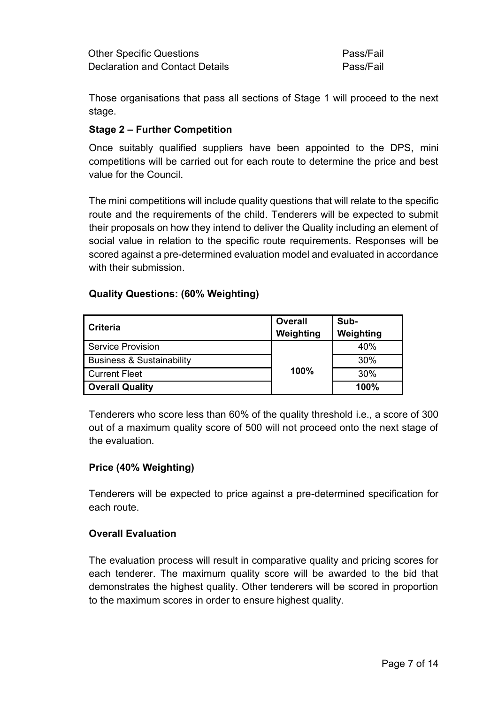Those organisations that pass all sections of Stage 1 will proceed to the next stage.

## **Stage 2 – Further Competition**

Once suitably qualified suppliers have been appointed to the DPS, mini competitions will be carried out for each route to determine the price and best value for the Council.

The mini competitions will include quality questions that will relate to the specific route and the requirements of the child. Tenderers will be expected to submit their proposals on how they intend to deliver the Quality including an element of social value in relation to the specific route requirements. Responses will be scored against a pre-determined evaluation model and evaluated in accordance with their submission.

## **Quality Questions: (60% Weighting)**

| <b>Criteria</b>                      | Overall<br>Weighting | Sub-<br>Weighting |
|--------------------------------------|----------------------|-------------------|
| <b>Service Provision</b>             |                      | 40%               |
| <b>Business &amp; Sustainability</b> |                      |                   |
| <b>Current Fleet</b>                 | 100%                 | 30%               |
| <b>Overall Quality</b>               |                      | 100%              |

Tenderers who score less than 60% of the quality threshold i.e., a score of 300 out of a maximum quality score of 500 will not proceed onto the next stage of the evaluation.

## **Price (40% Weighting)**

Tenderers will be expected to price against a pre-determined specification for each route.

## **Overall Evaluation**

The evaluation process will result in comparative quality and pricing scores for each tenderer. The maximum quality score will be awarded to the bid that demonstrates the highest quality. Other tenderers will be scored in proportion to the maximum scores in order to ensure highest quality.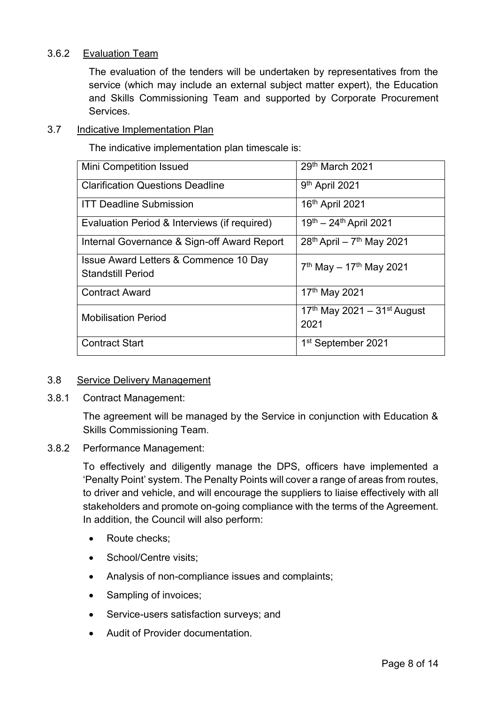#### 3.6.2 Evaluation Team

The evaluation of the tenders will be undertaken by representatives from the service (which may include an external subject matter expert), the Education and Skills Commissioning Team and supported by Corporate Procurement **Services** 

#### 3.7 Indicative Implementation Plan

The indicative implementation plan timescale is:

| <b>Mini Competition Issued</b>                                    | 29th March 2021                            |
|-------------------------------------------------------------------|--------------------------------------------|
| <b>Clarification Questions Deadline</b>                           | 9 <sup>th</sup> April 2021                 |
| <b>ITT Deadline Submission</b>                                    | 16th April 2021                            |
| Evaluation Period & Interviews (if required)                      | 19th - 24th April 2021                     |
| Internal Governance & Sign-off Award Report                       | $28^{th}$ April – 7 <sup>th</sup> May 2021 |
| Issue Award Letters & Commence 10 Day<br><b>Standstill Period</b> | $7th$ May - 17 <sup>th</sup> May 2021      |
| <b>Contract Award</b>                                             | 17th May 2021                              |
| <b>Mobilisation Period</b>                                        | 17th May 2021 - 31st August<br>2021        |
| <b>Contract Start</b>                                             | 1 <sup>st</sup> September 2021             |

#### 3.8 Service Delivery Management

3.8.1 Contract Management:

The agreement will be managed by the Service in conjunction with Education & Skills Commissioning Team.

#### 3.8.2 Performance Management:

To effectively and diligently manage the DPS, officers have implemented a 'Penalty Point' system. The Penalty Points will cover a range of areas from routes, to driver and vehicle, and will encourage the suppliers to liaise effectively with all stakeholders and promote on-going compliance with the terms of the Agreement. In addition, the Council will also perform:

- Route checks:
- School/Centre visits;
- Analysis of non-compliance issues and complaints;
- Sampling of invoices;
- Service-users satisfaction surveys; and
- Audit of Provider documentation.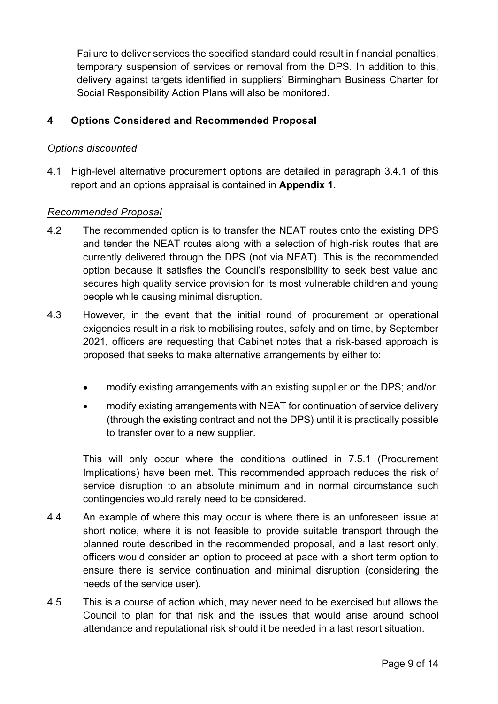Failure to deliver services the specified standard could result in financial penalties, temporary suspension of services or removal from the DPS. In addition to this, delivery against targets identified in suppliers' Birmingham Business Charter for Social Responsibility Action Plans will also be monitored.

## **4 Options Considered and Recommended Proposal**

#### *Options discounted*

4.1 High-level alternative procurement options are detailed in paragraph 3.4.1 of this report and an options appraisal is contained in **Appendix 1**.

#### *Recommended Proposal*

- 4.2 The recommended option is to transfer the NEAT routes onto the existing DPS and tender the NEAT routes along with a selection of high-risk routes that are currently delivered through the DPS (not via NEAT). This is the recommended option because it satisfies the Council's responsibility to seek best value and secures high quality service provision for its most vulnerable children and young people while causing minimal disruption.
- 4.3 However, in the event that the initial round of procurement or operational exigencies result in a risk to mobilising routes, safely and on time, by September 2021, officers are requesting that Cabinet notes that a risk-based approach is proposed that seeks to make alternative arrangements by either to:
	- modify existing arrangements with an existing supplier on the DPS; and/or
	- modify existing arrangements with NEAT for continuation of service delivery (through the existing contract and not the DPS) until it is practically possible to transfer over to a new supplier.

This will only occur where the conditions outlined in 7.5.1 (Procurement Implications) have been met. This recommended approach reduces the risk of service disruption to an absolute minimum and in normal circumstance such contingencies would rarely need to be considered.

- 4.4 An example of where this may occur is where there is an unforeseen issue at short notice, where it is not feasible to provide suitable transport through the planned route described in the recommended proposal, and a last resort only, officers would consider an option to proceed at pace with a short term option to ensure there is service continuation and minimal disruption (considering the needs of the service user).
- 4.5 This is a course of action which, may never need to be exercised but allows the Council to plan for that risk and the issues that would arise around school attendance and reputational risk should it be needed in a last resort situation.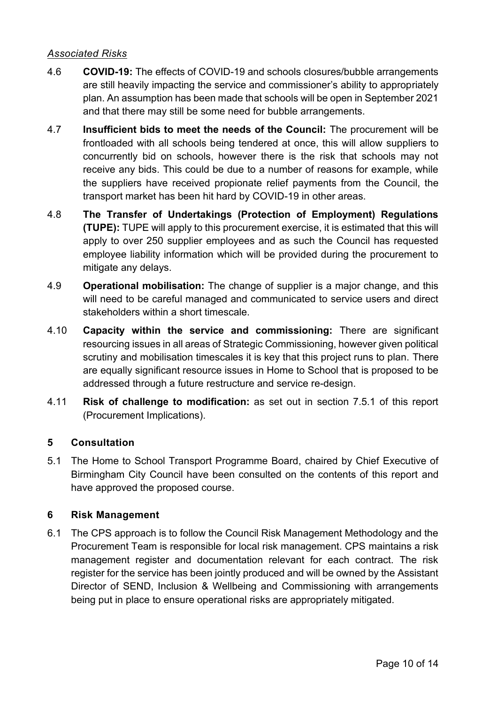## *Associated Risks*

- 4.6 **COVID-19:** The effects of COVID-19 and schools closures/bubble arrangements are still heavily impacting the service and commissioner's ability to appropriately plan. An assumption has been made that schools will be open in September 2021 and that there may still be some need for bubble arrangements.
- 4.7 **Insufficient bids to meet the needs of the Council:** The procurement will be frontloaded with all schools being tendered at once, this will allow suppliers to concurrently bid on schools, however there is the risk that schools may not receive any bids. This could be due to a number of reasons for example, while the suppliers have received propionate relief payments from the Council, the transport market has been hit hard by COVID-19 in other areas.
- 4.8 **The Transfer of Undertakings (Protection of Employment) Regulations (TUPE):** TUPE will apply to this procurement exercise, it is estimated that this will apply to over 250 supplier employees and as such the Council has requested employee liability information which will be provided during the procurement to mitigate any delays.
- 4.9 **Operational mobilisation:** The change of supplier is a major change, and this will need to be careful managed and communicated to service users and direct stakeholders within a short timescale.
- 4.10 **Capacity within the service and commissioning:** There are significant resourcing issues in all areas of Strategic Commissioning, however given political scrutiny and mobilisation timescales it is key that this project runs to plan. There are equally significant resource issues in Home to School that is proposed to be addressed through a future restructure and service re-design.
- 4.11 **Risk of challenge to modification:** as set out in section 7.5.1 of this report (Procurement Implications).

## **5 Consultation**

5.1 The Home to School Transport Programme Board, chaired by Chief Executive of Birmingham City Council have been consulted on the contents of this report and have approved the proposed course.

## **6 Risk Management**

6.1 The CPS approach is to follow the Council Risk Management Methodology and the Procurement Team is responsible for local risk management. CPS maintains a risk management register and documentation relevant for each contract. The risk register for the service has been jointly produced and will be owned by the Assistant Director of SEND, Inclusion & Wellbeing and Commissioning with arrangements being put in place to ensure operational risks are appropriately mitigated.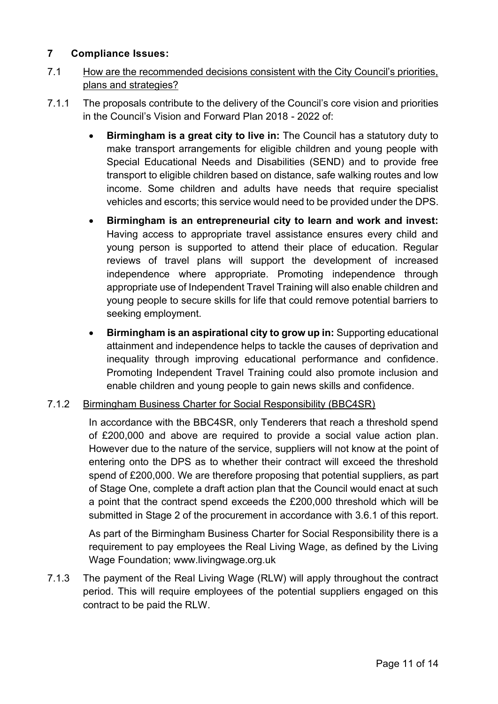## **7 Compliance Issues:**

- 7.1 How are the recommended decisions consistent with the City Council's priorities, plans and strategies?
- 7.1.1 The proposals contribute to the delivery of the Council's core vision and priorities in the Council's Vision and Forward Plan 2018 - 2022 of:
	- **Birmingham is a great city to live in:** The Council has a statutory duty to make transport arrangements for eligible children and young people with Special Educational Needs and Disabilities (SEND) and to provide free transport to eligible children based on distance, safe walking routes and low income. Some children and adults have needs that require specialist vehicles and escorts; this service would need to be provided under the DPS.
	- **Birmingham is an entrepreneurial city to learn and work and invest:** Having access to appropriate travel assistance ensures every child and young person is supported to attend their place of education. Regular reviews of travel plans will support the development of increased independence where appropriate. Promoting independence through appropriate use of Independent Travel Training will also enable children and young people to secure skills for life that could remove potential barriers to seeking employment.
	- **Birmingham is an aspirational city to grow up in:** Supporting educational attainment and independence helps to tackle the causes of deprivation and inequality through improving educational performance and confidence. Promoting Independent Travel Training could also promote inclusion and enable children and young people to gain news skills and confidence.

## 7.1.2 Birmingham Business Charter for Social Responsibility (BBC4SR)

In accordance with the BBC4SR, only Tenderers that reach a threshold spend of £200,000 and above are required to provide a social value action plan. However due to the nature of the service, suppliers will not know at the point of entering onto the DPS as to whether their contract will exceed the threshold spend of £200,000. We are therefore proposing that potential suppliers, as part of Stage One, complete a draft action plan that the Council would enact at such a point that the contract spend exceeds the £200,000 threshold which will be submitted in Stage 2 of the procurement in accordance with 3.6.1 of this report.

As part of the Birmingham Business Charter for Social Responsibility there is a requirement to pay employees the Real Living Wage, as defined by the Living Wage Foundation; www.livingwage.org.uk

7.1.3 The payment of the Real Living Wage (RLW) will apply throughout the contract period. This will require employees of the potential suppliers engaged on this contract to be paid the RLW.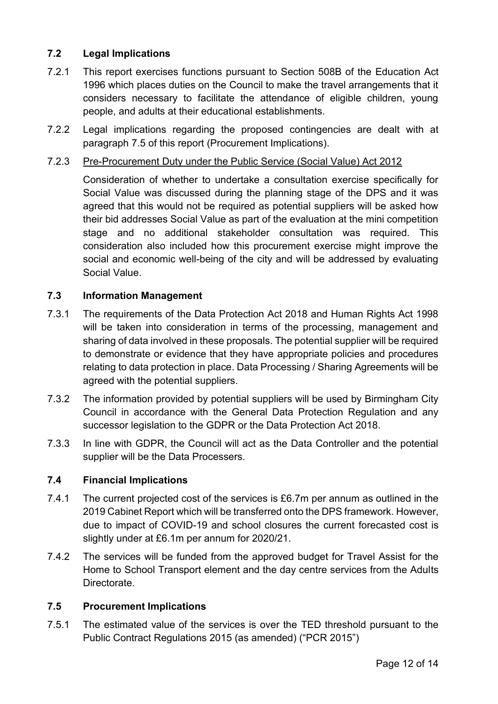## **7.2 Legal Implications**

- 7.2.1 This report exercises functions pursuant to Section 508B of the Education Act 1996 which places duties on the Council to make the travel arrangements that it considers necessary to facilitate the attendance of eligible children, young people, and adults at their educational establishments.
- 7.2.2 Legal implications regarding the proposed contingencies are dealt with at paragraph 7.5 of this report (Procurement Implications).

#### 7.2.3 Pre-Procurement Duty under the Public Service (Social Value) Act 2012

Consideration of whether to undertake a consultation exercise specifically for Social Value was discussed during the planning stage of the DPS and it was agreed that this would not be required as potential suppliers will be asked how their bid addresses Social Value as part of the evaluation at the mini competition stage and no additional stakeholder consultation was required. This consideration also included how this procurement exercise might improve the social and economic well-being of the city and will be addressed by evaluating Social Value.

#### **7.3 Information Management**

- 7.3.1 The requirements of the Data Protection Act 2018 and Human Rights Act 1998 will be taken into consideration in terms of the processing, management and sharing of data involved in these proposals. The potential supplier will be required to demonstrate or evidence that they have appropriate policies and procedures relating to data protection in place. Data Processing / Sharing Agreements will be agreed with the potential suppliers.
- 7.3.2 The information provided by potential suppliers will be used by Birmingham City Council in accordance with the General Data Protection Regulation and any successor legislation to the GDPR or the Data Protection Act 2018.
- 7.3.3 In line with GDPR, the Council will act as the Data Controller and the potential supplier will be the Data Processers.

## **7.4 Financial Implications**

- 7.4.1 The current projected cost of the services is £6.7m per annum as outlined in the 2019 Cabinet Report which will be transferred onto the DPS framework. However, due to impact of COVID-19 and school closures the current forecasted cost is slightly under at £6.1m per annum for 2020/21.
- 7.4.2 The services will be funded from the approved budget for Travel Assist for the Home to School Transport element and the day centre services from the Adults Directorate.

#### **7.5 Procurement Implications**

7.5.1 The estimated value of the services is over the TED threshold pursuant to the Public Contract Regulations 2015 (as amended) ("PCR 2015")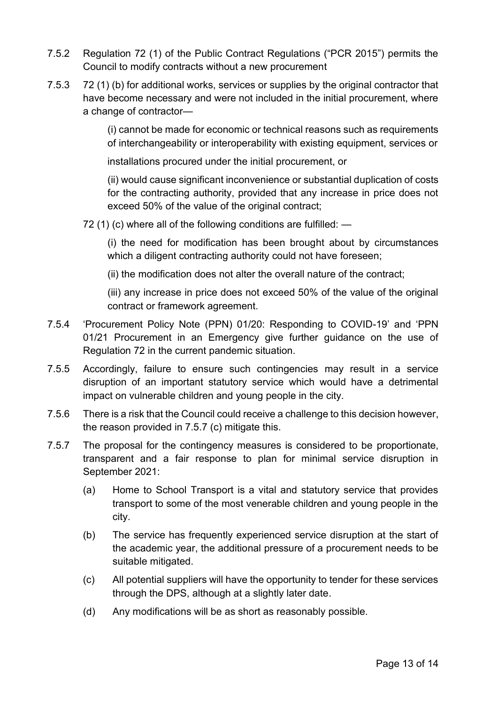- 7.5.2 Regulation 72 (1) of the Public Contract Regulations ("PCR 2015") permits the Council to modify contracts without a new procurement
- 7.5.3 72 (1) (b) for additional works, services or supplies by the original contractor that have become necessary and were not included in the initial procurement, where a change of contractor—

(i) cannot be made for economic or technical reasons such as requirements of interchangeability or interoperability with existing equipment, services or

installations procured under the initial procurement, or

(ii) would cause significant inconvenience or substantial duplication of costs for the contracting authority, provided that any increase in price does not exceed 50% of the value of the original contract;

72 (1) (c) where all of the following conditions are fulfilled: —

(i) the need for modification has been brought about by circumstances which a diligent contracting authority could not have foreseen;

(ii) the modification does not alter the overall nature of the contract;

(iii) any increase in price does not exceed 50% of the value of the original contract or framework agreement.

- 7.5.4 'Procurement Policy Note (PPN) 01/20: Responding to COVID-19' and 'PPN 01/21 Procurement in an Emergency give further guidance on the use of Regulation 72 in the current pandemic situation.
- 7.5.5 Accordingly, failure to ensure such contingencies may result in a service disruption of an important statutory service which would have a detrimental impact on vulnerable children and young people in the city.
- 7.5.6 There is a risk that the Council could receive a challenge to this decision however, the reason provided in 7.5.7 (c) mitigate this.
- 7.5.7 The proposal for the contingency measures is considered to be proportionate, transparent and a fair response to plan for minimal service disruption in September 2021:
	- (a) Home to School Transport is a vital and statutory service that provides transport to some of the most venerable children and young people in the city.
	- (b) The service has frequently experienced service disruption at the start of the academic year, the additional pressure of a procurement needs to be suitable mitigated.
	- (c) All potential suppliers will have the opportunity to tender for these services through the DPS, although at a slightly later date.
	- (d) Any modifications will be as short as reasonably possible.